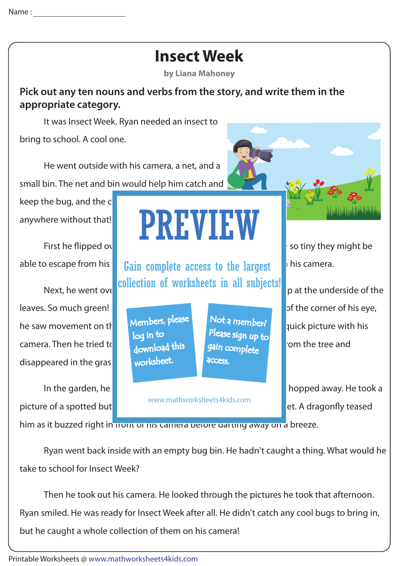## **Insect Week**

**by Liana Mahoney**

**Pick out any ten nouns and verbs from the story, and write them in the appropriate category.**

It was Insect Week. Ryan needed an insect to

bring to school. A cool one.

 He went outside with his camera, a net, and a small bin. The net and bin would help him catch and

keep the bug, and the  $c$ anywhere without that!

leaves. So much green! How would he ever spot and insect here in insect here in insect here in insect here in he saw movement on the trunk of trace trace  $\mathbb{R}$  a caterpier a quick picture with his camera. Then he tried to catch it with the catch it with  $\frac{1}{2}$  fell from the tree and disappeared in the gras.

picture of a spotted but **it expressions are all the reached for his net.** A dragonfly teased

## PREVIEW

able to escape from his **Gain complete access to the largest** pick a still his camera. collection of worksheets in all subjects!

> Members, please download this worksheet. log in to

Not a member? gain complete Please sign up to **access** 

www.mathworksheets4kids.com

First he flipped over a rock. All he saw we reaches a rock we saw we saw we so tiny they might be

Next, he went over the anti-time is welfwhere. The and subjects: pat the underside of the

In the garden, he got a picture of a picture of a picture of a colorful grasshopped away. He took a

him as it buzzed right in front of his camera pefore garting away on a breeze.

 Ryan went back inside with an empty bug bin. He hadn't caught a thing. What would he take to school for Insect Week?

 Then he took out his camera. He looked through the pictures he took that afternoon. Ryan smiled. He was ready for Insect Week after all. He didn't catch any cool bugs to bring in, but he caught a whole collection of them on his camera!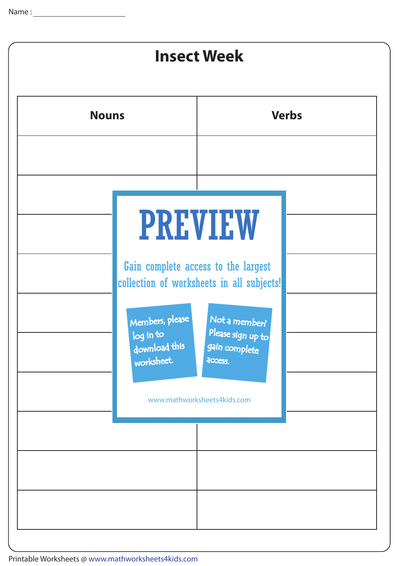